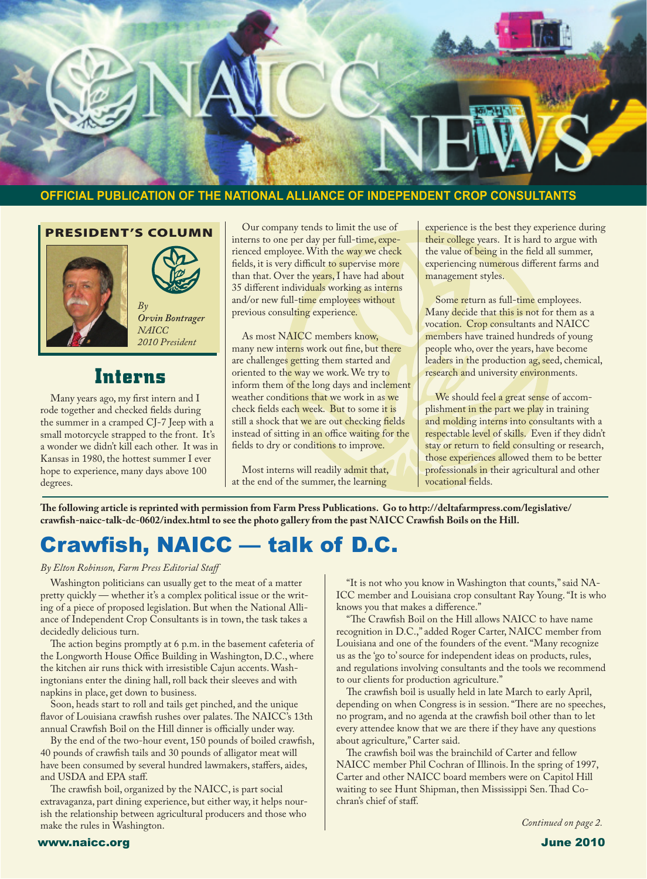

#### **OFFICIAL PUBLICATION OF THE NATIONAL ALLIANCE OF INDEPENDENT CROP CONSULTANTS**

PRESIDENT'S COLUMN





*Orvin Bontrager NAICC 2010 President*

## **Interns**

 Many years ago, my first intern and I rode together and checked fields during the summer in a cramped CJ-7 Jeep with a small motorcycle strapped to the front. It's a wonder we didn't kill each other. It was in Kansas in 1980, the hottest summer I ever hope to experience, many days above 100 degrees.

 Our company tends to limit the use of interns to one per day per full-time, experienced employee.With the way we check fields, it is very difficult to supervise more than that. Over the years, I have had about 35 different individuals working as interns and/or new full-time employees without previous consulting experience.

 As most NAICC members know, many new interns work out fine, but there are challenges getting them started and oriented to the way we work.We try to inform them of the long days and inclement weather conditions that we work in as we check fields each week. But to some it is still a shock that we are out checking fields instead of sitting in an office waiting for the fields to dry or conditions to improve.

 Most interns will readily admit that, at the end of the summer, the learning

experience is the best they experience during their college years. It is hard to argue with the value of being in the field all summer, experiencing numerous different farms and management styles.

 Some return as full-time employees. Many decide that this is not for them as a vocation. Crop consultants and NAICC members have trained hundreds of young people who, over the years, have become leaders in the production ag, seed, chemical, research and university environments.

We should feel a great sense of accomplishment in the part we play in training and molding interns into consultants with a respectable level of skills. Even if they didn't stay or return to field consulting or research, those experiences allowed them to be better professionals in their agricultural and other vocational fields.

**The following article is reprinted with permission from Farm Press Publications. Go to http://deltafarmpress.com/legislative/ crawfish-naicc-talk-dc-0602/index.html to see the photo gallery from the past NAICC Crawfish Boils on the Hill.**

# Crawfish, NAICC — talk of D.C.

#### *By Elton Robinson, Farm Press Editorial Staff*

 Washington politicians can usually get to the meat of a matter pretty quickly — whether it's a complex political issue or the writing of a piece of proposed legislation. But when the National Alliance of Independent Crop Consultants is in town, the task takes a decidedly delicious turn.

 The action begins promptly at 6 p.m. in the basement cafeteria of the Longworth House Office Building in Washington, D.C., where the kitchen air runs thick with irresistible Cajun accents.Washingtonians enter the dining hall, roll back their sleeves and with napkins in place, get down to business.

 Soon, heads start to roll and tails get pinched, and the unique flavor of Louisiana crawfish rushes over palates. The NAICC's 13th annual Crawfish Boil on the Hill dinner is officially under way.

 By the end of the two-hour event, 150 pounds of boiled crawfish, 40 pounds of crawfish tails and 30 pounds of alligator meat will have been consumed by several hundred lawmakers, staffers, aides, and USDA and EPA staff.

 The crawfish boil, organized by the NAICC, is part social extravaganza, part dining experience, but either way, it helps nourish the relationship between agricultural producers and those who make the rules in Washington.

 "It is not who you know in Washington that counts,"said NA-ICC member and Louisiana crop consultant Ray Young."It is who knows you that makes a difference."

 "The Crawfish Boil on the Hill allows NAICC to have name recognition in D.C.," added Roger Carter, NAICC member from Louisiana and one of the founders of the event."Many recognize us as the 'go to'source for independent ideas on products, rules, and regulations involving consultants and the tools we recommend to our clients for production agriculture."

 The crawfish boil is usually held in late March to early April, depending on when Congress is in session."There are no speeches, no program, and no agenda at the crawfish boil other than to let every attendee know that we are there if they have any questions about agriculture," Carter said.

 The crawfish boil was the brainchild of Carter and fellow NAICC member Phil Cochran of Illinois. In the spring of 1997, Carter and other NAICC board members were on Capitol Hill waiting to see Hunt Shipman, then Mississippi Sen.Thad Cochran's chief of staff.

*Continued on page 2.*

#### www.naicc.org June 2010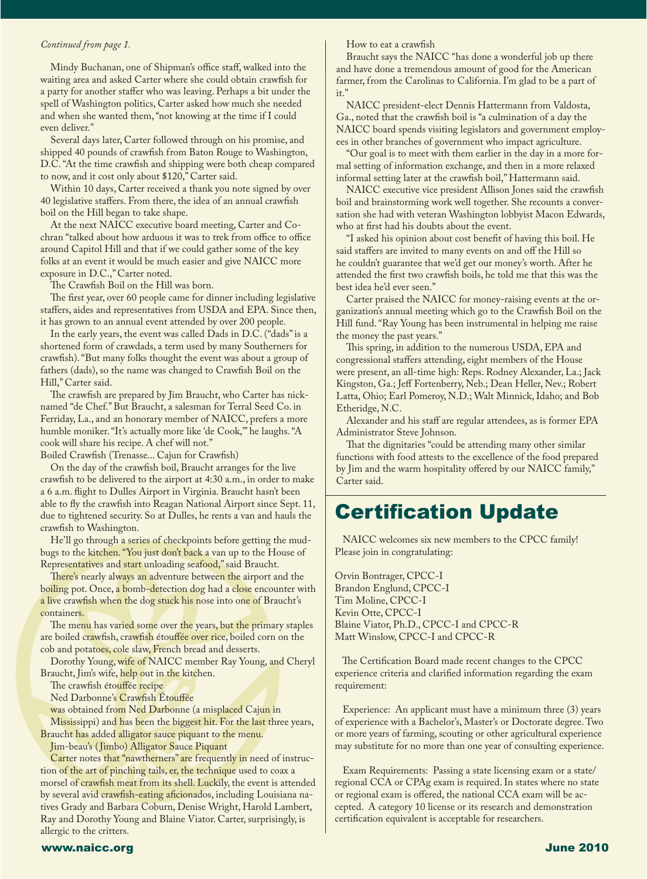#### *Continued from page 1.*

 Mindy Buchanan, one of Shipman's office staff, walked into the waiting area and asked Carter where she could obtain crawfish for a party for another staffer who was leaving. Perhaps a bit under the spell of Washington politics, Carter asked how much she needed and when she wanted them,"not knowing at the time if I could even deliver."

 Several days later, Carter followed through on his promise, and shipped 40 pounds of crawfish from Baton Rouge to Washington, D.C."At the time crawfish and shipping were both cheap compared to now, and it cost only about \$120," Carter said.

 Within 10 days, Carter received a thank you note signed by over 40 legislative staffers. From there, the idea of an annual crawfish boil on the Hill began to take shape.

 At the next NAICC executive board meeting, Carter and Cochran "talked about how arduous it was to trek from office to office around Capitol Hill and that if we could gather some of the key folks at an event it would be much easier and give NAICC more exposure in D.C.," Carter noted.

 The Crawfish Boil on the Hill was born.

 The first year, over 60 people came for dinner including legislative staffers, aides and representatives from USDA and EPA. Since then, it has grown to an annual event attended by over 200 people.

 In the early years, the event was called Dads in D.C. ("dads"is a shortened form of crawdads, a term used by many Southerners for crawfish)."But many folks thought the event was about a group of fathers (dads), so the name was changed to Crawfish Boil on the Hill," Carter said.

 The crawfish are prepared by Jim Braucht, who Carter has nicknamed "de Chef."But Braucht, a salesman for Terral Seed Co. in Ferriday, La., and an honorary member of NAICC, prefers a more humble moniker."It's actually more like 'de Cook,'" he laughs."A cook will share his recipe. A chef will not."

Boiled Crawfish (Trenasse... Cajun for Crawfish)

 On the day of the crawfish boil, Braucht arranges for the live crawfish to be delivered to the airport at 4:30 a.m., in order to make a 6 a.m. flight to Dulles Airport in Virginia. Braucht hasn't been able to fly the crawfish into Reagan National Airport since Sept. 11, due to tightened security. So at Dulles, he rents a van and hauls the crawfish to Washington.

 He'll go through a series of checkpoints before getting the mudbugs to the kitchen."You just don't back a van up to the House of Representatives and start unloading seafood,"said Braucht.

There's nearly always an adventure between the airport and the boiling pot. Once, a bomb-detection dog had a close encounter with a live crawfish when the dog stuck his nose into one of Braucht's containers.

The menu has varied some over the years, but the primary staples are boiled crawfish, crawfish étouffée over rice, boiled corn on the cob and potatoes, cole slaw, French bread and desserts.

 Dorothy Young, wife of NAICC member Ray Young, and Cheryl Braucht, Jim's wife, help out in the kitchen.

 The crawfish étouffée recipe

 Ned Darbonne's Crawfish Étouffée

was obtained from Ned Darbonne (a misplaced Cajun in

 Mississippi) and has been the biggest hit. For the last three years, Braucht has added alligator sauce piquant to the menu.

 Jim-beau's ( Jimbo) Alligator Sauce Piquant

Carter notes that "nawtherners" are frequently in need of instruction of the art of pinching tails, er, the technique used to coax a morsel of crawfish meat from its shell. Luckily, the event is attended by several avid crawfish-eating aficionados, including Louisiana natives Grady and Barbara Coburn, Denise Wright, Harold Lambert, Ray and Dorothy Young and Blaine Viator. Carter, surprisingly, is allergic to the critters.

#### How to eat a crawfish

 Braucht says the NAICC "has done a wonderful job up there and have done a tremendous amount of good for the American farmer, from the Carolinas to California.I'm glad to be a part of it."

 NAICC president-elect Dennis Hattermann from Valdosta, Ga., noted that the crawfish boil is "a culmination of a day the NAICC board spends visiting legislators and government employees in other branches of government who impact agriculture.

 "Our goal is to meet with them earlier in the day in a more formal setting of information exchange, and then in a more relaxed informal setting later at the crawfish boil," Hattermann said.

 NAICC executive vice president Allison Jones said the crawfish boil and brainstorming work well together. She recounts a conversation she had with veteran Washington lobbyist Macon Edwards, who at first had his doubts about the event.

 "I asked his opinion about cost benefit of having this boil. He said staffers are invited to many events on and off the Hill so he couldn't guarantee that we'd get our money's worth. After he attended the first two crawfish boils, he told me that this was the best idea he'd ever seen."

 Carter praised the NAICC for money-raising events at the organization's annual meeting which go to the Crawfish Boil on the Hill fund."Ray Young has been instrumental in helping me raise the money the past years."

 This spring, in addition to the numerous USDA, EPA and congressional staffers attending, eight members of the House were present, an all-time high: Reps. Rodney Alexander, La.; Jack Kingston, Ga.; Jeff Fortenberry, Neb.; Dean Heller, Nev.; Robert Latta, Ohio; Earl Pomeroy, N.D.; Walt Minnick, Idaho; and Bob Etheridge, N.C.

 Alexander and his staff are regular attendees, as is former EPA Administrator Steve Johnson.

 That the dignitaries "could be attending many other similar functions with food attests to the excellence of the food prepared by Jim and the warm hospitality offered by our NAICC family," Carter said.

# Certification Update

 NAICC welcomes six new members to the CPCC family! Please join in congratulating:

Orvin Bontrager, CPCC-I Brandon Englund, CPCC-I Tim Moline, CPCC-I Kevin Otte, CPCC-I Blaine Viator, Ph.D., CPCC-I and CPCC-R Matt Winslow, CPCC-I and CPCC-R

 The Certification Board made recent changes to the CPCC experience criteria and clarified information regarding the exam requirement:

 Experience: An applicant must have a minimum three (3) years of experience with a Bachelor's, Master's or Doctorate degree.Two or more years of farming, scouting or other agricultural experience may substitute for no more than one year of consulting experience.

 Exam Requirements: Passing a state licensing exam or a state/ regional CCA or CPAg exam is required.In states where no state or regional exam is offered, the national CCA exam will be accepted. A category 10 license or its research and demonstration certification equivalent is acceptable for researchers.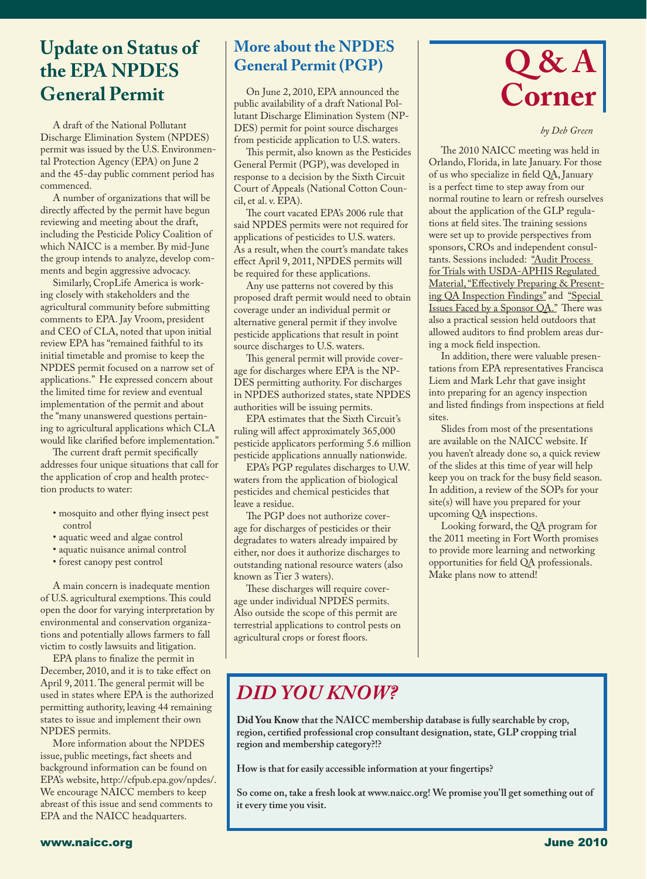# **Update on Status of the EPA NPDES General Permit**

 

 A draft of the National Pollutant Discharge Elimination System (NPDES) permit was issued by the U.S. Environmental Protection Agency (EPA) on June 2 and the 45-day public comment period has commenced.

 A number of organizations that will be directly affected by the permit have begun reviewing and meeting about the draft, including the Pesticide Policy Coalition of which NAICC is a member. By mid-June the group intends to analyze, develop comments and begin aggressive advocacy.

 Similarly, CropLife America is working closely with stakeholders and the agricultural community before submitting comments to EPA. Jay Vroom, president and CEO of CLA, noted that upon initial review EPA has "remained faithful to its initial timetable and promise to keep the NPDES permit focused on a narrow set of applications." He expressed concern about the limited time for review and eventual implementation of the permit and about the "many unanswered questions pertaining to agricultural applications which CLA would like clarified before implementation."

 The current draft permit specifically addresses four unique situations that call for the application of crop and health protection products to water:

- mosquito and other flying insect pest control
- aquatic weed and algae control
- aquatic nuisance animal control
- forest canopy pest control

 A main concern is inadequate mention of U.S. agricultural exemptions.This could open the door for varying interpretation by environmental and conservation organizations and potentially allows farmers to fall victim to costly lawsuits and litigation.

 EPA plans to finalize the permit in

December, 2010, and it is to take effect on April 9, 2011. The general permit will be used in states where EPA is the authorized permitting authority, leaving 44 remaining states to issue and implement their own NPDES permits.

 More information about the NPDES issue, public meetings, fact sheets and background information can be found on EPA's website, http://cfpub.epa.gov/npdes/. We encourage NAICC members to keep abreast of this issue and send comments to EPA and the NAICC headquarters.

## **More about the NPDES General Permit (PGP)**

 On June 2, 2010, EPA announced the public availability of a draft National Pollutant Discharge Elimination System (NP-DES) permit for point source discharges from pesticide application to U.S. waters.

 This permit, also known as the Pesticides General Permit (PGP), was developed in response to a decision by the Sixth Circuit Court of Appeals (National Cotton Council, et al. v. EPA).

 The court vacated EPA's 2006 rule that said NPDES permits were not required for applications of pesticides to U.S. waters. As a result, when the court's mandate takes effect April 9, 2011, NPDES permits will be required for these applications.

 Any use patterns not covered by this proposed draft permit would need to obtain coverage under an individual permit or alternative general permit if they involve pesticide applications that result in point source discharges to U.S. waters.

 This general permit will provide coverage for discharges where EPA is the NP-DES permitting authority. For discharges in NPDES authorized states, state NPDES authorities will be issuing permits.

 EPA estimates that the Sixth Circuit's ruling will affect approximately 365,000 pesticide applicators performing 5.6 million pesticide applications annually nationwide.

 EPA's PGP regulates discharges to U.W. waters from the application of biological pesticides and chemical pesticides that leave a residue.

 The PGP does not authorize coverage for discharges of pesticides or their degradates to waters already impaired by either, nor does it authorize discharges to outstanding national resource waters (also known as Tier 3 waters).

 These discharges will require coverage under individual NPDES permits. Also outside the scope of this permit are terrestrial applications to control pests on agricultural crops or forest floors.



*by Deb Green*

 The 2010 NAICC meeting was held in Orlando, Florida, in late January. For those of us who specialize in field QA, January is a perfect time to step away from our normal routine to learn or refresh ourselves about the application of the GLP regulations at field sites.The training sessions were set up to provide perspectives from sponsors, CROs and independent consultants. Sessions included: "Audit Process for Trials with USDA-APHIS Regulated Material,"Effectively Preparing & Presenting QA Inspection Findings" and "Special Issues Faced by a Sponsor QA." There was also a practical session held outdoors that allowed auditors to find problem areas during a mock field inspection.

 In addition, there were valuable presentations from EPA representatives Francisca Liem and Mark Lehr that gave insight into preparing for an agency inspection and listed findings from inspections at field sites.

 Slides from most of the presentations are available on the NAICC website.If you haven't already done so, a quick review of the slides at this time of year will help keep you on track for the busy field season. In addition, a review of the SOPs for your site(s) will have you prepared for your upcoming QA inspections.

 Looking forward, the QA program for the 2011 meeting in Fort Worth promises to provide more learning and networking opportunities for field QA professionals. Make plans now to attend!

# *DID YOU KNOW?*

**Did You Know that the NAICC membership database is fully searchable by crop, region, certified professional crop consultant designation, state, GLP cropping trial region and membership category?!?**

**How is that for easily accessible information at your fingertips?**

**So come on, take a fresh look at www.naicc.org! We promise you'll get something out of it every time you visit.**